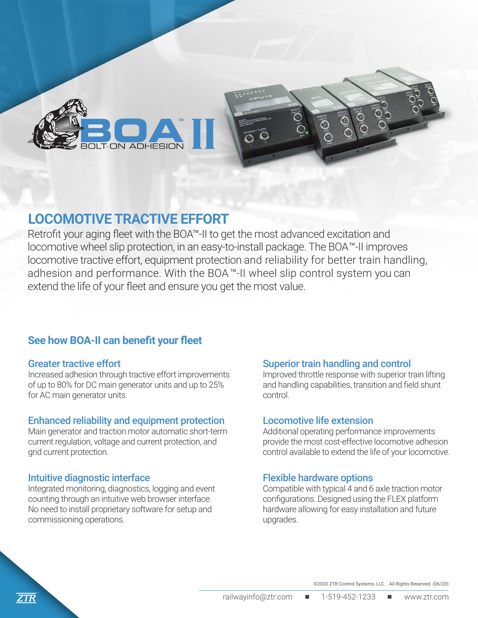

## **LOCOMOTIVE TRACTIVE EFFORT**

Retrofit your aging fleet with the BOA™-II to get the most advanced excitation and locomotive wheel slip protection, in an easy-to-install package. The BOA™-II improves locomotive tractive effort, equipment protection and reliability for better train handling, adhesion and performance. With the BOA ™-II wheel slip control system you can extend the life of your fleet and ensure you get the most value.

### **See how BOA-II can benefit your fleet**

#### Greater tractive effort

Increased adhesion through tractive effort improvements of up to 80% for DC main generator units and up to 25% for AC main generator units.

#### Enhanced reliability and equipment protection

Main generator and traction motor automatic short-term current regulation, voltage and current protection, and grid current protection.

#### Intuitive diagnostic interface

Integrated monitoring, diagnostics, logging and event counting through an intuitive web browser interface. No need to install proprietary software for setup and commissioning operations.

#### Superior train handling and control

Improved throttle response with superior train lifting and handling capabilities, transition and field shunt control.

#### Locomotive life extension

Additional operating performance improvements provide the most cost-effective locomotive adhesion control available to extend the life of your locomotive.

#### Flexible hardware options

Compatible with typical 4 and 6 axle traction motor configurations. Designed using the FLEX platform hardware allowing for easy installation and future upgrades.